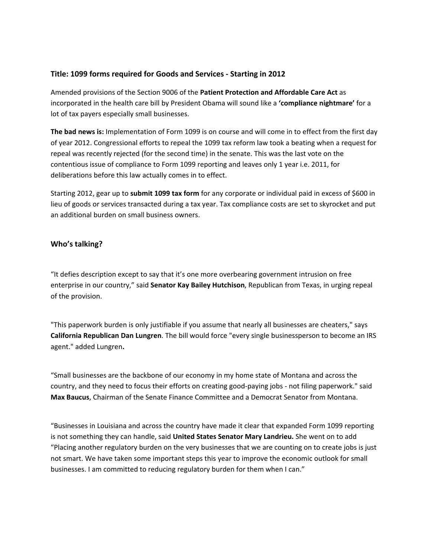## **Title: 1099 forms required for Goods and Services ‐ Starting in 2012**

Amended provisions of the Section 9006 of the **Patient Protection and Affordable Care Act** as incorporated in the health care bill by President Obama will sound like a **'compliance nightmare'** for a lot of tax payers especially small businesses.

**The bad news is:** Implementation of Form 1099 is on course and will come in to effect from the first day of year 2012. Congressional efforts to repeal the 1099 tax reform law took a beating when a request for repeal was recently rejected (for the second time) in the senate. This was the last vote on the contentious issue of compliance to Form 1099 reporting and leaves only 1 year i.e. 2011, for deliberations before this law actually comes in to effect.

Starting 2012, gear up to **submit 1099 tax form** for any corporate or individual paid in excess of \$600 in lieu of goods or services transacted during a tax year. Tax compliance costs are set to skyrocket and put an additional burden on small business owners.

### **Who's talking?**

"It defies description except to say that it's one more overbearing government intrusion on free enterprise in our country," said **Senator Kay Bailey Hutchison**, Republican from Texas, in urging repeal of the provision.

"This paperwork burden is only justifiable if you assume that nearly all businesses are cheaters," says **California Republican Dan Lungren**. The bill would force "every single businessperson to become an IRS agent." added Lungren**.** 

"Small businesses are the backbone of our economy in my home state of Montana and across the country, and they need to focus their efforts on creating good‐paying jobs ‐ not filing paperwork." said **Max Baucus**, Chairman of the Senate Finance Committee and a Democrat Senator from Montana.

"Businesses in Louisiana and across the country have made it clear that expanded Form 1099 reporting is not something they can handle, said **United States Senator Mary Landrieu.** She went on to add "Placing another regulatory burden on the very businesses that we are counting on to create jobs is just not smart. We have taken some important steps this year to improve the economic outlook for small businesses. I am committed to reducing regulatory burden for them when I can."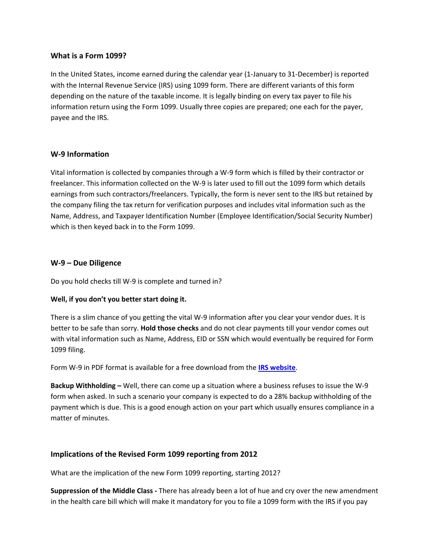#### **What is a Form 1099?**

In the United States, income earned during the calendar year (1‐January to 31‐December) is reported with the Internal Revenue Service (IRS) using 1099 form. There are different variants of this form depending on the nature of the taxable income. It is legally binding on every tax payer to file his information return using the Form 1099. Usually three copies are prepared; one each for the payer, payee and the IRS.

#### **W‐9 Information**

Vital information is collected by companies through a W‐9 form which is filled by their contractor or freelancer. This information collected on the W‐9 is later used to fill out the 1099 form which details earnings from such contractors/freelancers. Typically, the form is never sent to the IRS but retained by the company filing the tax return for verification purposes and includes vital information such as the Name, Address, and Taxpayer Identification Number (Employee Identification/Social Security Number) which is then keyed back in to the Form 1099.

### **W‐9 – Due Diligence**

Do you hold checks till W‐9 is complete and turned in?

### **Well, if you don't you better start doing it.**

There is a slim chance of you getting the vital W‐9 information after you clear your vendor dues. It is better to be safe than sorry. **Hold those checks** and do not clear payments till your vendor comes out with vital information such as Name, Address, EID or SSN which would eventually be required for Form 1099 filing.

Form W‐9 in PDF format is available for a free download from the **IRS website**.

**Backup Withholding –** Well, there can come up a situation where a business refuses to issue the W‐9 form when asked. In such a scenario your company is expected to do a 28% backup withholding of the payment which is due. This is a good enough action on your part which usually ensures compliance in a matter of minutes.

### **Implications of the Revised Form 1099 reporting from 2012**

What are the implication of the new Form 1099 reporting, starting 2012?

**Suppression of the Middle Class ‐** There has already been a lot of hue and cry over the new amendment in the health care bill which will make it mandatory for you to file a 1099 form with the IRS if you pay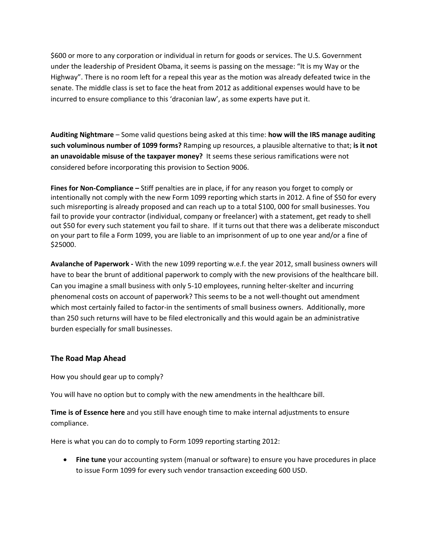\$600 or more to any corporation or individual in return for goods or services. The U.S. Government under the leadership of President Obama, it seems is passing on the message: "It is my Way or the Highway". There is no room left for a repeal this year as the motion was already defeated twice in the senate. The middle class is set to face the heat from 2012 as additional expenses would have to be incurred to ensure compliance to this 'draconian law', as some experts have put it.

**Auditing Nightmare** – Some valid questions being asked at this time: **how will the IRS manage auditing such voluminous number of 1099 forms?** Ramping up resources, a plausible alternative to that; **is it not an unavoidable misuse of the taxpayer money?** It seems these serious ramifications were not considered before incorporating this provision to Section 9006.

**Fines for Non‐Compliance –** Stiff penalties are in place, if for any reason you forget to comply or intentionally not comply with the new Form 1099 reporting which starts in 2012. A fine of \$50 for every such misreporting is already proposed and can reach up to a total \$100, 000 for small businesses. You fail to provide your contractor (individual, company or freelancer) with a statement, get ready to shell out \$50 for every such statement you fail to share. If it turns out that there was a deliberate misconduct on your part to file a Form 1099, you are liable to an imprisonment of up to one year and/or a fine of \$25000.

**Avalanche of Paperwork ‐** With the new 1099 reporting w.e.f. the year 2012, small business owners will have to bear the brunt of additional paperwork to comply with the new provisions of the healthcare bill. Can you imagine a small business with only 5‐10 employees, running helter‐skelter and incurring phenomenal costs on account of paperwork? This seems to be a not well‐thought out amendment which most certainly failed to factor-in the sentiments of small business owners. Additionally, more than 250 such returns will have to be filed electronically and this would again be an administrative burden especially for small businesses.

### **The Road Map Ahead**

How you should gear up to comply?

You will have no option but to comply with the new amendments in the healthcare bill.

**Time is of Essence here** and you still have enough time to make internal adjustments to ensure compliance.

Here is what you can do to comply to Form 1099 reporting starting 2012:

• **Fine tune** your accounting system (manual or software) to ensure you have procedures in place to issue Form 1099 for every such vendor transaction exceeding 600 USD.